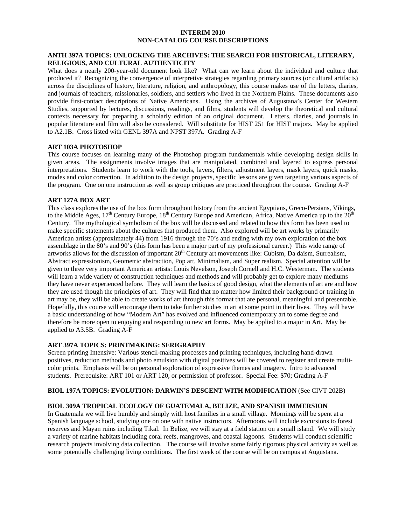#### **INTERIM 2010 NON-CATALOG COURSE DESCRIPTIONS**

## **ANTH 397A TOPICS: UNLOCKING THE ARCHIVES: THE SEARCH FOR HISTORICAL, LITERARY, RELIGIOUS, AND CULTURAL AUTHENTICITY**

What does a nearly 200-year-old document look like? What can we learn about the individual and culture that produced it? Recognizing the convergence of interpretive strategies regarding primary sources (or cultural artifacts) across the disciplines of history, literature, religion, and anthropology, this course makes use of the letters, diaries, and journals of teachers, missionaries, soldiers, and settlers who lived in the Northern Plains. These documents also provide first-contact descriptions of Native Americans. Using the archives of Augustana's Center for Western Studies, supported by lectures, discussions, readings, and films, students will develop the theoretical and cultural contexts necessary for preparing a scholarly edition of an original document. Letters, diaries, and journals in popular literature and film will also be considered. Will substitute for HIST 251 for HIST majors. May be applied to A2.1B. Cross listed with GENL 397A and NPST 397A. Grading A-F

#### **ART 103A PHOTOSHOP**

This course focuses on learning many of the Photoshop program fundamentals while developing design skills in given areas. The assignments involve images that are manipulated, combined and layered to express personal interpretations. Students learn to work with the tools, layers, filters, adjustment layers, mask layers, quick masks, modes and color correction. In addition to the design projects, specific lessons are given targeting various aspects of the program. One on one instruction as well as group critiques are practiced throughout the course. Grading A-F

#### **ART 127A BOX ART**

This class explores the use of the box form throughout history from the ancient Egyptians, Greco-Persians, Vikings, to the Middle Ages, 17<sup>th</sup> Century Europe, 18<sup>th</sup> Century Europe and American, Africa, Native America up to the 20<sup>th</sup> Century. The mythological symbolism of the box will be discussed and related to how this form has been used to make specific statements about the cultures that produced them. Also explored will be art works by primarily American artists (approximately 44) from 1916 through the 70's and ending with my own exploration of the box assemblage in the 80's and 90's (this form has been a major part of my professional career.) This wide range of artworks allows for the discussion of important 20th Century art movements like: Cubism, Da daism, Surrealism, Abstract expressionism, Geometric abstraction, Pop art, Minimalism, and Super realism. Special attention will be given to three very important American artists: Louis Nevelson, Joseph Cornell and H.C. Westerman. The students will learn a wide variety of construction techniques and methods and will probably get to explore many mediums they have never experienced before. They will learn the basics of good design, what the elements of art are and how they are used though the principles of art. They will find that no matter how limited their background or training in art may be, they will be able to create works of art through this format that are personal, meaningful and presentable. Hopefully, this course will encourage them to take further studies in art at some point in their lives. They will have a basic understanding of how "Modern Art" has evolved and influenced contemporary art to some degree and therefore be more open to enjoying and responding to new art forms. May be applied to a major in Art. May be applied to A3.5B. Grading A-F

#### **ART 397A TOPICS: PRINTMAKING: SERIGRAPHY**

Screen printing Intensive: Various stencil-making processes and printing techniques, including hand-drawn positives, reduction methods and photo emulsion with digital positives will be covered to register and create multicolor prints. Emphasis will be on personal exploration of expressive themes and imagery. Intro to advanced students. Prerequisite: ART 101 or ART 120, or permission of professor. Special Fee: \$70; Grading A-F

#### **BIOL 197A TOPICS: EVOLUTION: DARWIN'S DESCENT WITH MODIFICATION** (See CIVT 202B)

### **BIOL 309A TROPICAL ECOLOGY OF GUATEMALA, BELIZE, AND SPANISH IMMERSION**

In Guatemala we will live humbly and simply with host families in a small village. Mornings will be spent at a Spanish language school, studying one on one with native instructors. Afternoons will include excursions to forest reserves and Mayan ruins including Tikal. In Belize, we will stay at a field station on a small island. We will study a variety of marine habitats including coral reefs, mangroves, and coastal lagoons. Students will conduct scientific research projects involving data collection. The course will involve some fairly rigorous physical activity as well as some potentially challenging living conditions. The first week of the course will be on campus at Augustana.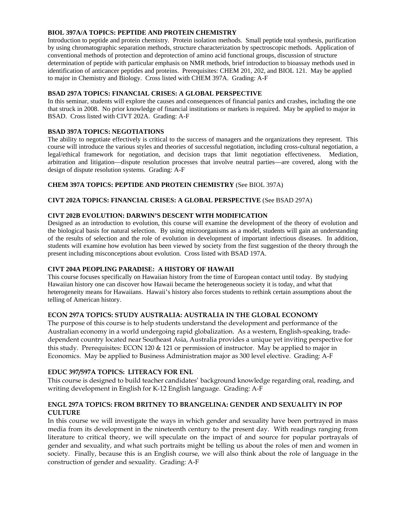# **BIOL 397A/A TOPICS: PEPTIDE AND PROTEIN CHEMISTRY**

Introduction to peptide and protein chemistry. Protein isolation methods. Small peptide total synthesis, purification by using chromatographic separation methods, structure characterization by spectroscopic methods. Application of conventional methods of protection and deprotection of amino acid functional groups, discussion of structure determination of peptide with particular emphasis on NMR methods, brief introduction to bioassay methods used in identification of anticancer peptides and proteins. Prerequisites: CHEM 201, 202, and BIOL 121. May be applied to major in Chemistry and Biology. Cross listed with CHEM 397A. Grading: A-F

## **BSAD 297A TOPICS: FINANCIAL CRISES: A GLOBAL PERSPECTIVE**

In this seminar, students will explore the causes and consequences of financial panics and crashes, including the one that struck in 2008. No prior knowledge of financial institutions or markets is required. May be applied to major in BSAD. Cross listed with CIVT 202A. Grading: A-F

# **BSAD 397A TOPICS: NEGOTIATIONS**

The ability to negotiate effectively is critical to the success of managers and the organizations they represent. This course will introduce the various styles and theories of successful negotiation, including cross-cultural negotiation, a legal/ethical framework for negotiation, and decision traps that limit negotiation effectiveness. Mediation, arbitration and litigation—dispute resolution processes that involve neutral parties—are covered, along with the design of dispute resolution systems. Grading: A-F

# **CHEM 397A TOPICS: PEPTIDE AND PROTEIN CHEMISTRY** (See BIOL 397A)

# **CIVT 202A TOPICS: FINANCIAL CRISES: A GLOBAL PERSPECTIVE** (See BSAD 297A)

# **CIVT 202B EVOLUTION: DARWIN'S DESCENT WITH MODIFICATION**

Designed as an introduction to evolution, this course will examine the development of the theory of evolution and the biological basis for natural selection. By using microorganisms as a model, students will gain an understanding of the results of selection and the role of evolution in development of important infectious diseases. In addition, students will examine how evolution has been viewed by society from the first suggestion of the theory through the present including misconceptions about evolution. Cross listed with BSAD 197A.

### **CIVT 204A PEOPLING PARADISE: A HISTORY OF HAWAII**

This course focuses specifically on Hawaiian history from the time of European contact until today. By studying Hawaiian history one can discover how Hawaii became the heterogeneous society it is today, and what that heterogeneity means for Hawaiians. Hawaii's history also forces students to rethink certain assumptions about the telling of American history.

# **ECON 297A TOPICS: STUDY AUSTRALIA: AUSTRALIA IN THE GLOBAL ECONOMY**

The purpose of this course is to help students understand the development and performance of the Australian economy in a world undergoing rapid globalization. As a western, English-speaking, tradedependent country located near Southeast Asia, Australia provides a unique yet inviting perspective for this study. Prerequisites: ECON 120 & 121 or permission of instructor. May be applied to major in Economics. May be applied to Business Administration major as 300 level elective. Grading: A-F

# **EDUC 397/597A TOPICS: LITERACY FOR ENL**

This course is designed to build teacher candidates' background knowledge regarding oral, reading, and writing development in English for K-12 English language. Grading: A-F

# **ENGL 297A TOPICS: FROM BRITNEY TO BRANGELINA: GENDER AND SEXUALITY IN POP CULTURE**

In this course we will investigate the ways in which gender and sexuality have been portrayed in mass media from its development in the nineteenth century to the present day. With readings ranging from literature to critical theory, we will speculate on the impact of and source for popular portrayals of gender and sexuality, and what such portraits might be telling us about the roles of men and women in society. Finally, because this is an English course, we will also think about the role of language in the construction of gender and sexuality. Grading: A-F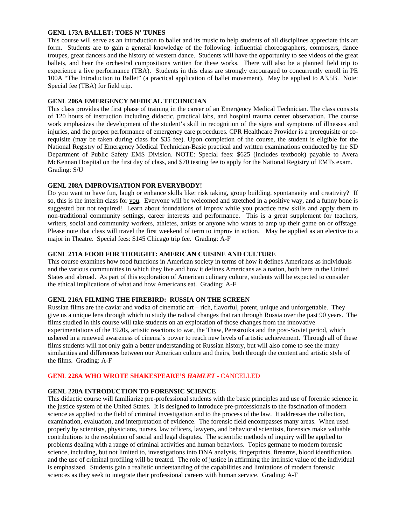### **GENL 173A BALLET: TOES N' TUNES**

This course will serve as an introduction to ballet and its music to help students of all disciplines appreciate this art form. Students are to gain a general knowledge of the following: influential choreographers, composers, dance troupes, great dancers and the history of western dance. Students will have the opportunity to see videos of the great ballets, and hear the orchestral compositions written for these works. There will also be a planned field trip to experience a live performance (TBA). Students in this class are strongly encouraged to concurrently enroll in PE 100A "The Introduction to Ballet" (a practical application of ballet movement). May be applied to A3.5B. Note: Special fee (TBA) for field trip.

#### **GENL 206A EMERGENCY MEDICAL TECHNICIAN**

This class provides the first phase of training in the career of an Emergency Medical Technician. The class consists of 120 hours of instruction including didactic, practical labs, and hospital trauma center observation. The course work emphasizes the development of the student's skill in recognition of the signs and symptoms of illnesses and injuries, and the proper performance of emergency care procedures. CPR Healthcare Provider is a prerequisite or corequisite (may be taken during class for \$35 fee). Upon completion of the course, the student is eligible for the National Registry of Emergency Medical Technician-Basic practical and written examinations conducted by the SD Department of Public Safety EMS Division. NOTE: Special fees: \$625 (includes textbook) payable to Avera McKennan Hospital on the first day of class, and \$70 testing fee to apply for the National Registry of EMTs exam. Grading: S/U

### **GENL 208A IMPROVISATION FOR EVERYBODY!**

Do you want to have fun, laugh or enhance skills like: risk taking, group building, spontanaeity and creativity? If so, this is the interim class for you. Everyone will be welcomed and stretched in a positive way, and a funny bone is suggested but not required! Learn about foundations of improv while you practice new skills and apply them to non-traditional community settings, career interests and performance. This is a great supplement for teachers, writers, social and community workers, athletes, artists or anyone who wants to amp up their game on or offstage. Please note that class will travel the first weekend of term to improv in action. May be applied as an elective to a major in Theatre. Special fees: \$145 Chicago trip fee. Grading: A-F

### **GENL 211A FOOD FOR THOUGHT: AMERICAN CUISINE AND CULTURE**

This course examines how food functions in American society in terms of how it defines Americans as individuals and the various communities in which they live and how it defines Americans as a nation, both here in the United States and abroad. As part of this exploration of American culinary culture, students will be expected to consider the ethical implications of what and how Americans eat. Grading: A-F

#### **GENL 216A FILMING THE FIREBIRD: RUSSIA ON THE SCREEN**

Russian films are the caviar and vodka of cinematic art – rich, flavorful, potent, unique and unforgettable. They give us a unique lens through which to study the radical changes that ran through Russia over the past 90 years. The films studied in this course will take students on an exploration of those changes from the innovative experimentations of the 1920s, artistic reactions to war, the Thaw, Perestroika and the post-Soviet period, which ushered in a renewed awareness of cinema's power to reach new levels of artistic achievement. Through all of these films students will not only gain a better understanding of Russian history, but will also come to see the many similarities and differences between our American culture and theirs, both through the content and artistic style of the films. Grading: A-F

#### **GENL 226A WHO WROTE SHAKESPEARE'S** *HAMLET -* CANCELLED

### **GENL 228A INTRODUCTION TO FORENSIC SCIENCE**

This didactic course will familiarize pre-professional students with the basic principles and use of forensic science in the justice system of the United States. It is designed to introduce pre-professionals to the fascination of modern science as applied to the field of criminal investigation and to the process of the law. It addresses the collection, examination, evaluation, and interpretation of evidence. The forensic field encompasses many areas. When used properly by scientists, physicians, nurses, law officers, lawyers, and behavioral scientists, forensics make valuable contributions to the resolution of social and legal disputes. The scientific methods of inquiry will be applied to problems dealing with a range of criminal activities and human behaviors. Topics germane to modern forensic science, including, but not limited to, investigations into DNA analysis, fingerprints, firearms, blood identification, and the use of criminal profiling will be treated. The role of justice in affirming the intrinsic value of the individual is emphasized. Students gain a realistic understanding of the capabilities and limitations of modern forensic sciences as they seek to integrate their professional careers with human service. Grading: A-F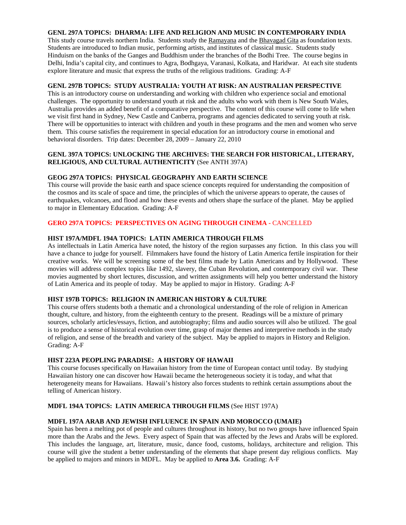# **GENL 297A TOPICS: DHARMA: LIFE AND RELIGION AND MUSIC IN CONTEMPORARY INDIA**

This study course travels northern India. Students study the Ramayana and the Bhavagad Gita as foundation texts. Students are introduced to Indian music, performing artists, and institutes of classical music. Students study Hinduism on the banks of the Ganges and Buddhism under the branches of the Bodhi Tree. The course begins in Delhi, India's capital city, and continues to Agra, Bodhgaya, Varanasi, Kolkata, and Haridwar. At each site students explore literature and music that express the truths of the religious traditions. Grading: A-F

### **GENL 297B TOPICS: STUDY AUSTRALIA: YOUTH AT RISK: AN AUSTRALIAN PERSPECTIVE**

This is an introductory course on understanding and working with children who experience social and emotional challenges. The opportunity to understand youth at risk and the adults who work with them is New South Wales, Australia provides an added benefit of a comparative perspective. The content of this course will come to life when we visit first hand in Sydney, New Castle and Canberra, programs and agencies dedicated to serving youth at risk. There will be opportunities to interact with children and youth in these programs and the men and women who serve them. This course satisfies the requirement in special education for an introductory course in emotional and behavioral disorders. Trip dates: December 28, 2009 – January 22, 2010

### **GENL 397A TOPICS: UNLOCKING THE ARCHIVES: THE SEARCH FOR HISTORICAL, LITERARY, RELIGIOUS, AND CULTURAL AUTHENTICITY** (See ANTH 397A)

### **GEOG 297A TOPICS: PHYSICAL GEOGRAPHY AND EARTH SCIENCE**

This course will provide the basic earth and space science concepts required for understanding the composition of the cosmos and its scale of space and time, the principles of which the universe appears to operate, the causes of earthquakes, volcanoes, and flood and how these events and others shape the surface of the planet. May be applied to major in Elementary Education. Grading: A-F

# **GERO 297A TOPICS: PERSPECTIVES ON AGING THROUGH CINEMA - CANCELLED**

#### **HIST 197A/MDFL 194A TOPICS: LATIN AMERICA THROUGH FILMS**

As intellectuals in Latin America have noted, the history of the region surpasses any fiction. In this class you will have a chance to judge for yourself. Filmmakers have found the history of Latin America fertile inspiration for their creative works. We will be screening some of the best films made by Latin Americans and by Hollywood. These movies will address complex topics like 1492, slavery, the Cuban Revolution, and contemporary civil war. These movies augmented by short lectures, discussion, and written assignments will help you better understand the history of Latin America and its people of today. May be applied to major in History. Grading: A-F

#### **HIST 197B TOPICS: RELIGION IN AMERICAN HISTORY & CULTURE**

This course offers students both a thematic and a chronological understanding of the role of religion in American thought, culture, and history, from the eighteenth century to the present. Readings will be a mixture of primary sources, scholarly articles/essays, fiction, and autobiography; films and audio sources will also be utilized. The goal is to produce a sense of historical evolution over time, grasp of major themes and interpretive methods in the study of religion, and sense of the breadth and variety of the subject. May be applied to majors in History and Religion. Grading: A-F

#### **HIST 223A PEOPLING PARADISE: A HISTORY OF HAWAII**

This course focuses specifically on Hawaiian history from the time of European contact until today. By studying Hawaiian history one can discover how Hawaii became the heterogeneous society it is today, and what that heterogeneity means for Hawaiians. Hawaii's history also forces students to rethink certain assumptions about the telling of American history.

#### **MDFL 194A TOPICS: LATIN AMERICA THROUGH FILMS** (See HIST 197A)

#### **MDFL 197A ARAB AND JEWISH INFLUENCE IN SPAIN AND MOROCCO (UMAIE)**

Spain has been a melting pot of people and cultures throughout its history, but no two groups have influenced Spain more than the Arabs and the Jews. Every aspect of Spain that was affected by the Jews and Arabs will be explored. This includes the language, art, literature, music, dance food, customs, holidays, architecture and religion. This course will give the student a better understanding of the elements that shape present day religious conflicts. May be applied to majors and minors in MDFL. May be applied to **Area 3.6.** Grading: A-F